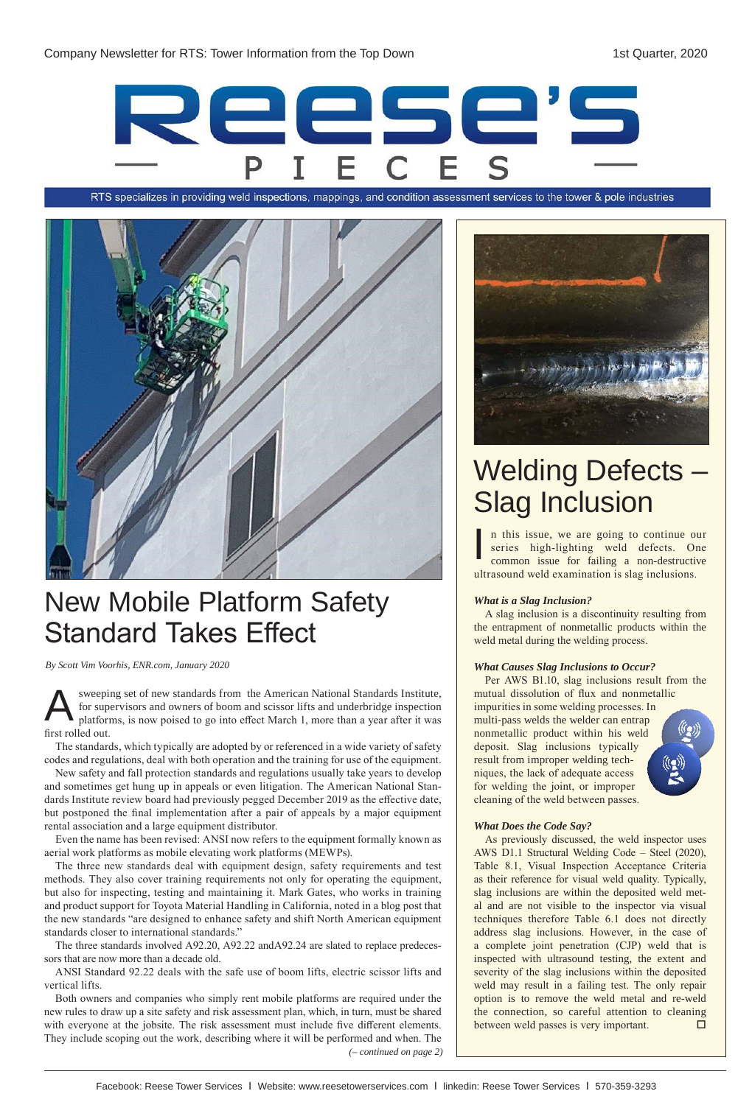

RTS specializes in providing weld inspections, mappings, and condition assessment services to the tower & pole industries



# New Mobile Platform Safety Standard Takes Effect

*By Scott Vim Voorhis, ENR.com, January 2020*

sweeping set of new standards from the American National Standards Institute, for supervisors and owners of boom and scissor lifts and underbridge inspection platforms, is now poised to go into effect March 1, more than a year after it was first rolled out. A

The standards, which typically are adopted by or referenced in a wide variety of safety codes and regulations, deal with both operation and the training for use of the equipment.

New safety and fall protection standards and regulations usually take years to develop and sometimes get hung up in appeals or even litigation. The American National Standards Institute review board had previously pegged December 2019 as the effective date, but postponed the final implementation after a pair of appeals by a major equipment rental association and a large equipment distributor.

Even the name has been revised: ANSI now refers to the equipment formally known as aerial work platforms as mobile elevating work platforms (MEWPs).

The three new standards deal with equipment design, safety requirements and test methods. They also cover training requirements not only for operating the equipment, but also for inspecting, testing and maintaining it. Mark Gates, who works in training and product support for Toyota Material Handling in California, noted in a blog post that the new standards "are designed to enhance safety and shift North American equipment standards closer to international standards."

The three standards involved A92.20, A92.22 andA92.24 are slated to replace predecessors that are now more than a decade old.

ANSI Standard 92.22 deals with the safe use of boom lifts, electric scissor lifts and vertical lifts.

Both owners and companies who simply rent mobile platforms are required under the new rules to draw up a site safety and risk assessment plan, which, in turn, must be shared with everyone at the jobsite. The risk assessment must include five different elements. They include scoping out the work, describing where it will be performed and when. The *(– continued on page 2)*



# Welding Defects – Slag Inclusion

n this issue, we are going to continue our series high-lighting weld defects. One common issue for failing a non-destructive ultrasound weld examination is slag inclusions. I

## *What is a Slag Inclusion?*

A slag inclusion is a discontinuity resulting from the entrapment of nonmetallic products within the weld metal during the welding process.

## *What Causes Slag Inclusions to Occur?*

Per AWS B1.10, slag inclusions result from the mutual dissolution of flux and nonmetallic impurities in some welding processes. In multi-pass welds the welder can entrap nonmetallic product within his weld deposit. Slag inclusions typically result from improper welding techniques, the lack of adequate access for welding the joint, or improper cleaning of the weld between passes.

## *What Does the Code Say?*

As previously discussed, the weld inspector uses AWS D1.1 Structural Welding Code – Steel (2020), Table 8.1, Visual Inspection Acceptance Criteria as their reference for visual weld quality. Typically, slag inclusions are within the deposited weld metal and are not visible to the inspector via visual techniques therefore Table 6.1 does not directly address slag inclusions. However, in the case of a complete joint penetration (CJP) weld that is inspected with ultrasound testing, the extent and severity of the slag inclusions within the deposited weld may result in a failing test. The only repair option is to remove the weld metal and re-weld the connection, so careful attention to cleaning between weld passes is very important.